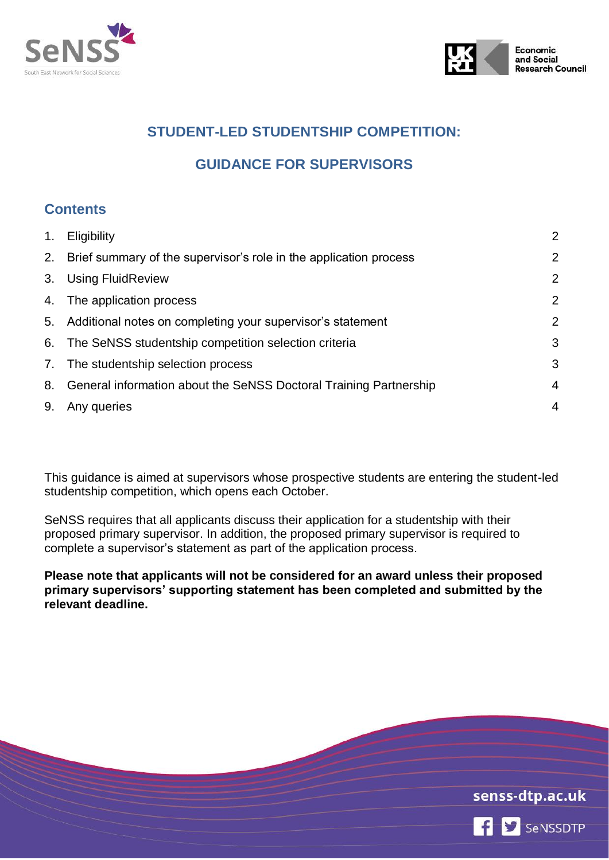



# **STUDENT-LED STUDENTSHIP COMPETITION:**

# **GUIDANCE FOR SUPERVISORS**

## **Contents**

| 1. | Eligibility                                                          | $\overline{2}$ |
|----|----------------------------------------------------------------------|----------------|
|    | 2. Brief summary of the supervisor's role in the application process | $\overline{2}$ |
|    | 3. Using FluidReview                                                 | $\overline{2}$ |
|    | 4. The application process                                           | $\overline{2}$ |
|    | 5. Additional notes on completing your supervisor's statement        | $\overline{2}$ |
|    | 6. The SeNSS studentship competition selection criteria              | 3              |
|    | 7. The studentship selection process                                 | 3              |
| 8. | General information about the SeNSS Doctoral Training Partnership    | $\overline{4}$ |
| 9. | Any queries                                                          | $\overline{4}$ |

This guidance is aimed at supervisors whose prospective students are entering the student-led studentship competition, which opens each October.

SeNSS requires that all applicants discuss their application for a studentship with their proposed primary supervisor. In addition, the proposed primary supervisor is required to complete a supervisor's statement as part of the application process.

**Please note that applicants will not be considered for an award unless their proposed primary supervisors' supporting statement has been completed and submitted by the relevant deadline.**

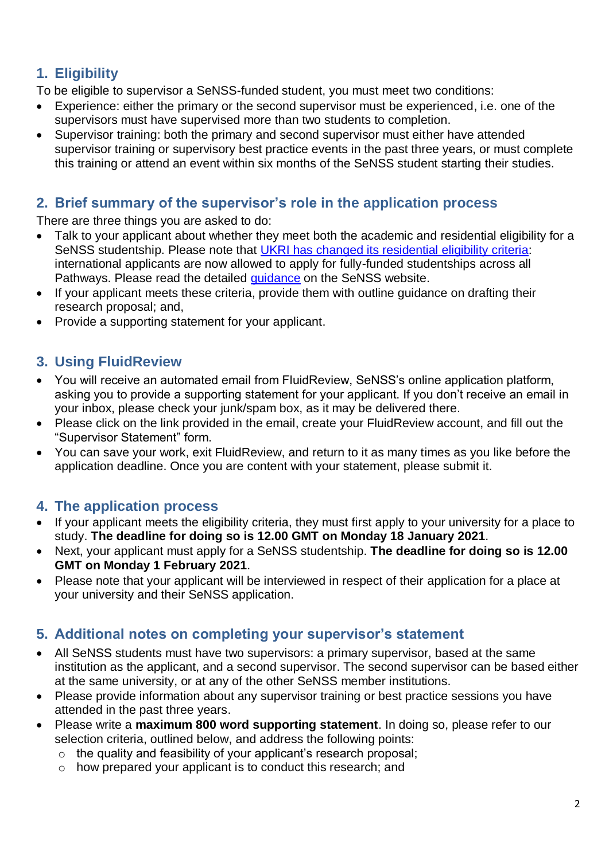# <span id="page-1-0"></span>**1. Eligibility**

To be eligible to supervisor a SeNSS-funded student, you must meet two conditions:

- Experience: either the primary or the second supervisor must be experienced, i.e. one of the supervisors must have supervised more than two students to completion.
- Supervisor training: both the primary and second supervisor must either have attended supervisor training or supervisory best practice events in the past three years, or must complete this training or attend an event within six months of the SeNSS student starting their studies.

### <span id="page-1-1"></span>**2. Brief summary of the supervisor's role in the application process**

There are three things you are asked to do:

- Talk to your applicant about whether they meet both the academic and residential eligibility for a SeNSS studentship. Please note that [UKRI has changed its residential eligibility criteria:](https://www.ukri.org/files/international-eligibility-implementation-guidance-for-tg-holders/) international applicants are now allowed to apply for fully-funded studentships across all Pathways. Please read the detailed quidance on the SeNSS website.
- If your applicant meets these criteria, provide them with outline guidance on drafting their research proposal; and,
- <span id="page-1-2"></span>• Provide a supporting statement for your applicant.

# **3. Using FluidReview**

- You will receive an automated email from FluidReview, SeNSS's online application platform, asking you to provide a supporting statement for your applicant. If you don't receive an email in your inbox, please check your junk/spam box, as it may be delivered there.
- Please click on the link provided in the email, create your FluidReview account, and fill out the "Supervisor Statement" form.
- You can save your work, exit FluidReview, and return to it as many times as you like before the application deadline. Once you are content with your statement, please submit it.

# <span id="page-1-3"></span>**4. The application process**

- If your applicant meets the eligibility criteria, they must first apply to your university for a place to study. **The deadline for doing so is 12.00 GMT on Monday 18 January 2021**.
- Next, your applicant must apply for a SeNSS studentship. **The deadline for doing so is 12.00 GMT on Monday 1 February 2021**.
- Please note that your applicant will be interviewed in respect of their application for a place at your university and their SeNSS application.

#### <span id="page-1-4"></span>**5. Additional notes on completing your supervisor's statement**

- All SeNSS students must have two supervisors: a primary supervisor, based at the same institution as the applicant, and a second supervisor. The second supervisor can be based either at the same university, or at any of the other SeNSS member institutions.
- Please provide information about any supervisor training or best practice sessions you have attended in the past three years.
- Please write a **maximum 800 word supporting statement**. In doing so, please refer to our selection criteria, outlined below, and address the following points:
	- o the quality and feasibility of your applicant's research proposal;
	- o how prepared your applicant is to conduct this research; and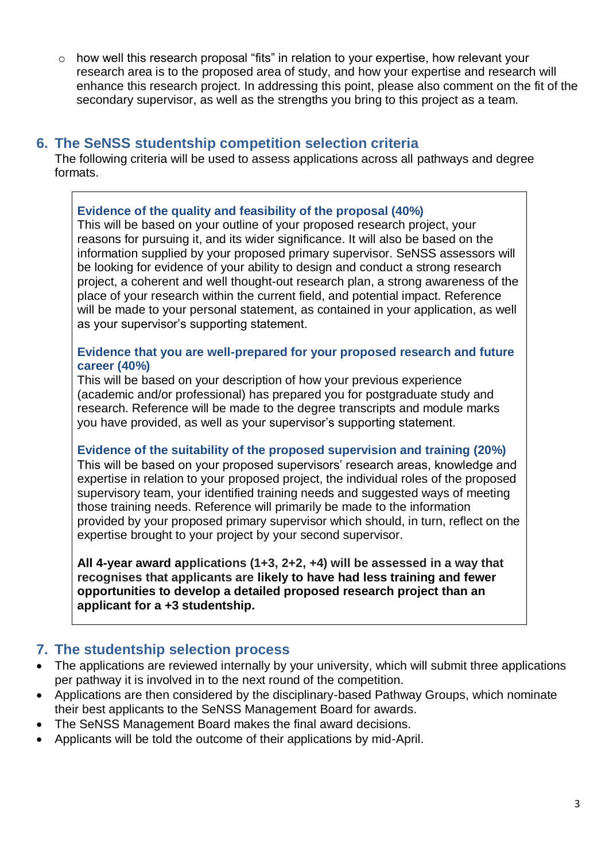o how well this research proposal "fits" in relation to your expertise, how relevant your research area is to the proposed area of study, and how your expertise and research will enhance this research project. In addressing this point, please also comment on the fit of the secondary supervisor, as well as the strengths you bring to this project as a team.

#### <span id="page-2-0"></span>**6. The SeNSS studentship competition selection criteria**

The following criteria will be used to assess applications across all pathways and degree formats.

#### **Evidence of the quality and feasibility of the proposal (40%)**

This will be based on your outline of your proposed research project, your reasons for pursuing it, and its wider significance. It will also be based on the information supplied by your proposed primary supervisor. SeNSS assessors will be looking for evidence of your ability to design and conduct a strong research project, a coherent and well thought-out research plan, a strong awareness of the place of your research within the current field, and potential impact. Reference will be made to your personal statement, as contained in your application, as well as your supervisor's supporting statement.

#### **Evidence that you are well-prepared for your proposed research and future career (40%)**

This will be based on your description of how your previous experience (academic and/or professional) has prepared you for postgraduate study and research. Reference will be made to the degree transcripts and module marks you have provided, as well as your supervisor's supporting statement.

# **Evidence of the suitability of the proposed supervision and training (20%)**

This will be based on your proposed supervisors' research areas, knowledge and expertise in relation to your proposed project, the individual roles of the proposed supervisory team, your identified training needs and suggested ways of meeting those training needs. Reference will primarily be made to the information provided by your proposed primary supervisor which should, in turn, reflect on the expertise brought to your project by your second supervisor.

**All 4-year award applications (1+3, 2+2, +4) will be assessed in a way that recognises that applicants are likely to have had less training and fewer opportunities to develop a detailed proposed research project than an applicant for a +3 studentship.**

#### <span id="page-2-1"></span>**7. The studentship selection process**

- The applications are reviewed internally by your university, which will submit three applications per pathway it is involved in to the next round of the competition.
- Applications are then considered by the disciplinary-based Pathway Groups, which nominate their best applicants to the SeNSS Management Board for awards.
- The SeNSS Management Board makes the final award decisions.
- Applicants will be told the outcome of their applications by mid-April.